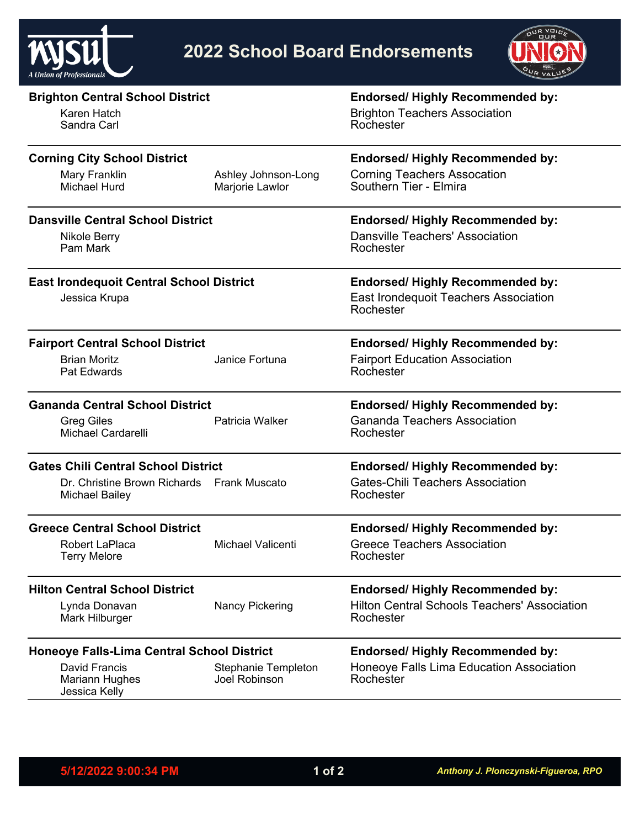



| <b>Brighton Central School District</b>           |                          | <b>Endorsed/ Highly Recommended by:</b>             |
|---------------------------------------------------|--------------------------|-----------------------------------------------------|
| Karen Hatch                                       |                          | <b>Brighton Teachers Association</b>                |
| Sandra Carl                                       |                          | Rochester                                           |
| <b>Corning City School District</b>               |                          | <b>Endorsed/ Highly Recommended by:</b>             |
| Mary Franklin                                     | Ashley Johnson-Long      | <b>Corning Teachers Assocation</b>                  |
| Michael Hurd                                      | Marjorie Lawlor          | Southern Tier - Elmira                              |
| <b>Dansville Central School District</b>          |                          | <b>Endorsed/ Highly Recommended by:</b>             |
| Nikole Berry                                      |                          | Dansville Teachers' Association                     |
| Pam Mark                                          |                          | Rochester                                           |
| <b>East Irondequoit Central School District</b>   |                          | <b>Endorsed/ Highly Recommended by:</b>             |
| Jessica Krupa                                     |                          | East Irondequoit Teachers Association               |
|                                                   |                          | Rochester                                           |
| <b>Fairport Central School District</b>           |                          | <b>Endorsed/ Highly Recommended by:</b>             |
| <b>Brian Moritz</b>                               | Janice Fortuna           | <b>Fairport Education Association</b>               |
| Pat Edwards                                       |                          | Rochester                                           |
| <b>Gananda Central School District</b>            |                          | <b>Endorsed/ Highly Recommended by:</b>             |
| <b>Greg Giles</b>                                 | Patricia Walker          | <b>Gananda Teachers Association</b>                 |
| <b>Michael Cardarelli</b>                         |                          | Rochester                                           |
| <b>Gates Chili Central School District</b>        |                          | <b>Endorsed/ Highly Recommended by:</b>             |
| Dr. Christine Brown Richards Frank Muscato        |                          | <b>Gates-Chili Teachers Association</b>             |
| <b>Michael Bailey</b>                             |                          | Rochester                                           |
| <b>Greece Central School District</b>             |                          | <b>Endorsed/ Highly Recommended by:</b>             |
| Robert LaPlaca                                    | <b>Michael Valicenti</b> | <b>Greece Teachers Association</b>                  |
| <b>Terry Melore</b>                               |                          | Rochester                                           |
| <b>Hilton Central School District</b>             |                          | <b>Endorsed/ Highly Recommended by:</b>             |
| Lynda Donavan                                     | <b>Nancy Pickering</b>   | <b>Hilton Central Schools Teachers' Association</b> |
| Mark Hilburger                                    |                          | Rochester                                           |
| <b>Honeoye Falls-Lima Central School District</b> |                          | <b>Endorsed/ Highly Recommended by:</b>             |
| David Francis                                     | Stephanie Templeton      | Honeoye Falls Lima Education Association            |
| <b>Mariann Hughes</b><br>Jessica Kelly            | Joel Robinson            | Rochester                                           |
|                                                   |                          |                                                     |